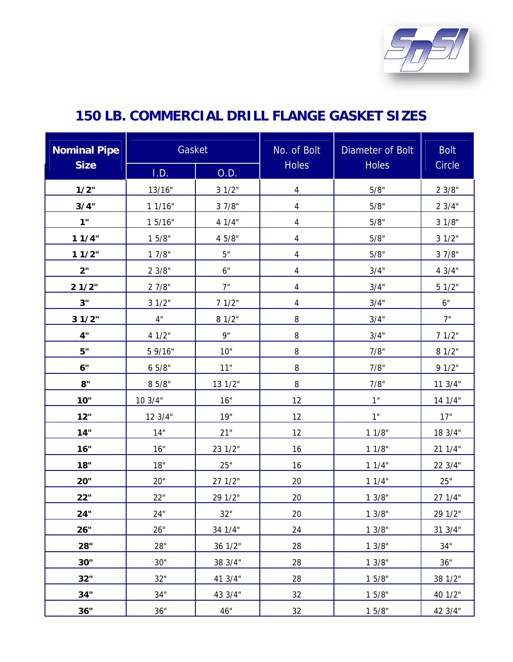

| <b>Nominal Pipe</b> | Gasket  |         | No. of Bolt              | Diameter of Bolt | <b>Bolt</b> |
|---------------------|---------|---------|--------------------------|------------------|-------------|
| <b>Size</b>         | I.D.    | O.D.    | <b>Holes</b>             | <b>Holes</b>     | Circle      |
| 1/2"                | 13/16"  | 31/2"   | $\overline{\mathcal{A}}$ | 5/8"             | 2 3/8"      |
| 3/4"                | 11/16"  | 3 7/8"  | $\overline{4}$           | 5/8"             | 23/4"       |
| 1"                  | 1 5/16" | 4 1/4"  | 4                        | 5/8"             | 3 1/8"      |
| 11/4"               | 15/8"   | 4 5/8"  | 4                        | 5/8"             | 31/2"       |
| 11/2"               | 17/8"   | 5"      | $\overline{\mathcal{A}}$ | 5/8"             | 3 7/8"      |
| 2"                  | 23/8"   | $6"$    | 4                        | 3/4"             | 4 3/4"      |
| 21/2"               | 2 7/8"  | 7"      | $\overline{4}$           | 3/4"             | 51/2"       |
| 3"                  | 31/2"   | 71/2"   | 4                        | 3/4"             | $6"$        |
| 31/2"               | 4"      | 8 1/2"  | 8                        | 3/4"             | 7"          |
| 4"                  | 4 1/2"  | 9"      | 8                        | 3/4"             | 71/2"       |
| 5"                  | 5 9/16" | 10"     | 8                        | 7/8"             | 8 1/2"      |
| 6"                  | 65/8"   | 11"     | 8                        | 7/8"             | 91/2"       |
| 8"                  | 8 5/8"  | 13 1/2" | 8                        | 7/8"             | 11 3/4"     |
| 10"                 | 10 3/4" | 16"     | 12                       | 1"               | 14 1/4"     |
| 12"                 | 12 3/4" | 19"     | 12                       | 1"               | 17"         |
| 14"                 | 14"     | 21"     | 12                       | 11/8"            | 18 3/4"     |
| 16"                 | 16"     | 23 1/2" | 16                       | 11/8"            | 21 1/4"     |
| 18"                 | 18"     | 25"     | 16                       | 11/4"            | 22 3/4"     |
| 20"                 | 20"     | 27 1/2" | 20                       | 11/4"            | 25"         |
| 22"                 | 22"     | 29 1/2" | 20                       | 13/8"            | 27 1/4"     |
| 24"                 | 24"     | 32"     | 20                       | 13/8"            | 29 1/2"     |
| 26"                 | 26"     | 34 1/4" | 24                       | 13/8"            | 31 3/4"     |
| 28"                 | 28"     | 36 1/2" | 28                       | 13/8"            | 34"         |
| 30"                 | 30"     | 38 3/4" | 28                       | 13/8"            | 36"         |
| 32"                 | 32"     | 41 3/4" | 28                       | 15/8"            | 38 1/2"     |
| 34"                 | 34"     | 43 3/4" | 32                       | 15/8"            | 40 1/2"     |
| 36"                 | 36"     | 46"     | 32                       | 15/8"            | 42 3/4"     |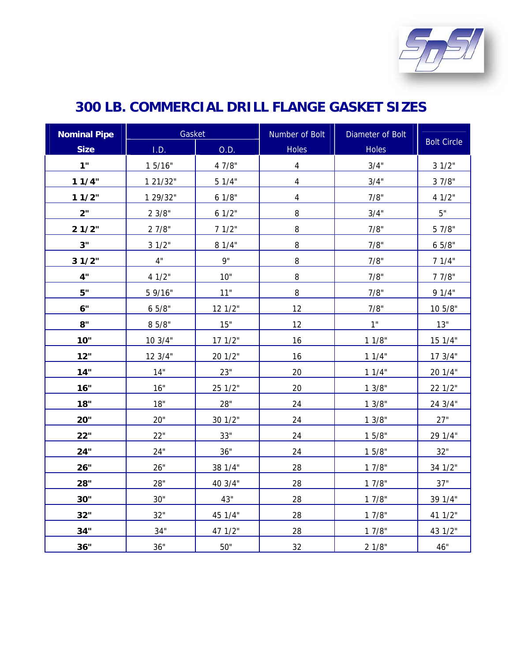

| <b>Nominal Pipe</b> | Gasket            |         | Number of Bolt           | Diameter of Bolt |                    |
|---------------------|-------------------|---------|--------------------------|------------------|--------------------|
| <b>Size</b>         | I.D.              | O.D.    | <b>Holes</b>             | Holes            | <b>Bolt Circle</b> |
| 1"                  | 15/16"            | 4 7/8"  | $\overline{\mathcal{A}}$ | 3/4"             | 31/2"              |
| 11/4"               | 1 21/32"          | 51/4"   | $\overline{\mathbf{4}}$  | 3/4"             | 3 7/8"             |
| 11/2"               | 1 29/32"          | 6 1/8"  | 4                        | 7/8"             | 4 1/2"             |
| 2"                  | $2 \frac{3}{8}$ " | 61/2"   | 8                        | 3/4"             | 5"                 |
| 21/2"               | 27/8"             | 71/2"   | 8                        | 7/8"             | 5 7/8"             |
| 3"                  | 31/2"             | 8 1/4"  | $\, 8$                   | 7/8"             | 65/8"              |
| 31/2"               | $4"$              | 9"      | 8                        | 7/8"             | 71/4"              |
| 4"                  | 4 1/2"            | 10"     | $\, 8$                   | 7/8"             | 7 7/8"             |
| 5"                  | 5 9/16"           | 11"     | $\, 8$                   | 7/8"             | 91/4"              |
| 6"                  | 65/8"             | 12 1/2" | 12                       | 7/8"             | 10 5/8"            |
| 8"                  | 8 5/8"            | 15"     | 12                       | $1"$             | $13"$              |
| 10"                 | 103/4"            | 171/2"  | 16                       | 11/8"            | 15 1/4"            |
| 12"                 | 12 3/4"           | 20 1/2" | 16                       | 11/4"            | 17 3/4"            |
| 14"                 | $14"$             | 23"     | 20                       | 11/4"            | 20 1/4"            |
| 16"                 | 16"               | 25 1/2" | $20\,$                   | 13/8"            | 22 1/2"            |
| 18"                 | $18"$             | 28"     | 24                       | 13/8"            | 24 3/4"            |
| 20"                 | 20"               | 30 1/2" | 24                       | 13/8"            | 27"                |
| 22"                 | 22"               | 33"     | 24                       | 15/8"            | 29 1/4"            |
| 24"                 | 24"               | 36"     | 24                       | 15/8"            | $32"$              |
| 26"                 | 26"               | 38 1/4" | 28                       | 17/8"            | 34 1/2"            |
| 28"                 | 28"               | 40 3/4" | 28                       | 17/8"            | 37"                |
| <b>30"</b>          | 30"               | 43"     | 28                       | 17/8"            | 39 1/4"            |
| 32"                 | 32"               | 45 1/4" | 28                       | 17/8"            | 41 1/2"            |
| 34"                 | 34"               | 47 1/2" | 28                       | 17/8"            | 43 1/2"            |
| 36"                 | 36"               | $50"$   | 32                       | 2 1/8"           | 46"                |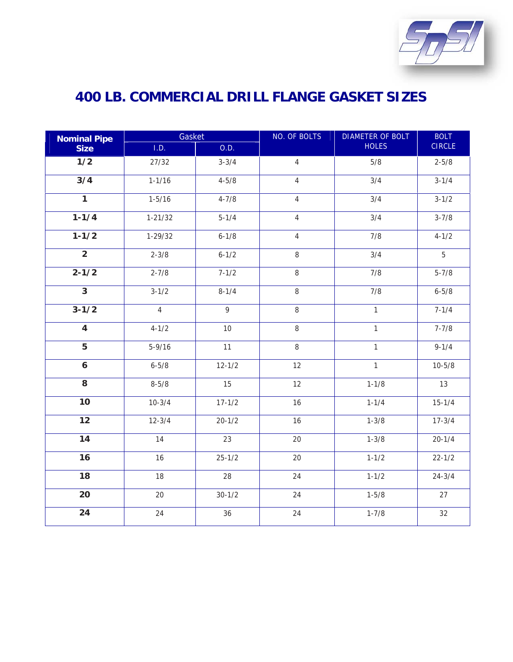

| <b>Nominal Pipe</b>       | Gasket         |              | NO. OF BOLTS   | <b>DIAMETER OF BOLT</b> | <b>BOLT</b>   |
|---------------------------|----------------|--------------|----------------|-------------------------|---------------|
| <b>Size</b>               | I.D.           | O.D.         |                | <b>HOLES</b>            | <b>CIRCLE</b> |
| $\frac{1}{2}$             | 27/32          | $3 - 3/4$    | $\sqrt{4}$     | 5/8                     | $2 - 5/8$     |
| $\overline{3}/4$          | $1 - 1/16$     | $4 - 5/8$    | $\overline{4}$ | 3/4                     | $3 - 1/4$     |
| $\overline{1}$            | $1 - 5/16$     | $4 - 7/8$    | $\sqrt{4}$     | 3/4                     | $3 - 1/2$     |
| $1 - 1/4$                 | $1 - 21/32$    | $5 - 1/4$    | $\overline{4}$ | 3/4                     | $3 - 7/8$     |
| $1 - 1/2$                 | $1 - 29/32$    | $6 - 1/8$    | $\overline{4}$ | 7/8                     | $4 - 1/2$     |
| $\overline{2}$            | $2 - 3/8$      | $6 - 1/2$    | $\,8\,$        | 3/4                     | 5             |
| $2 - 1/2$                 | $2 - 7/8$      | $7 - 1/2$    | $\, 8$         | 7/8                     | $5 - 7/8$     |
| $\overline{\overline{3}}$ | $3 - 1/2$      | $8 - 1/4$    | 8              | 7/8                     | $6 - 5/8$     |
| $3 - 1/2$                 | $\overline{4}$ | $\mathsf{q}$ | $\,8\,$        | $\mathbf{1}$            | $7 - 1/4$     |
| $\overline{\mathbf{4}}$   | $4 - 1/2$      | 10           | $\,8\,$        | $\mathbf{1}$            | $7 - 7/8$     |
| $\overline{5}$            | $5 - 9/16$     | 11           | $\,8\,$        | $\mathbf{1}$            | $9 - 1/4$     |
| $\boldsymbol{6}$          | $6 - 5/8$      | $12 - 1/2$   | 12             | $\mathbf{1}$            | $10 - 5/8$    |
| $\overline{8}$            | $8 - 5/8$      | 15           | 12             | $1 - 1/8$               | 13            |
| 10                        | $10 - 3/4$     | $17 - 1/2$   | 16             | $1 - 1/4$               | $15 - 1/4$    |
| 12                        | $12 - 3/4$     | $20 - 1/2$   | 16             | $1 - 3/8$               | $17 - 3/4$    |
| 14                        | 14             | 23           | 20             | $1 - 3/8$               | $20 - 1/4$    |
| 16                        | 16             | $25 - 1/2$   | 20             | $1 - 1/2$               | $22 - 1/2$    |
| 18                        | 18             | 28           | 24             | $1 - 1/2$               | $24 - 3/4$    |
| 20                        | 20             | $30 - 1/2$   | 24             | $1 - 5/8$               | 27            |
| 24                        | 24             | 36           | 24             | $1 - 7/8$               | 32            |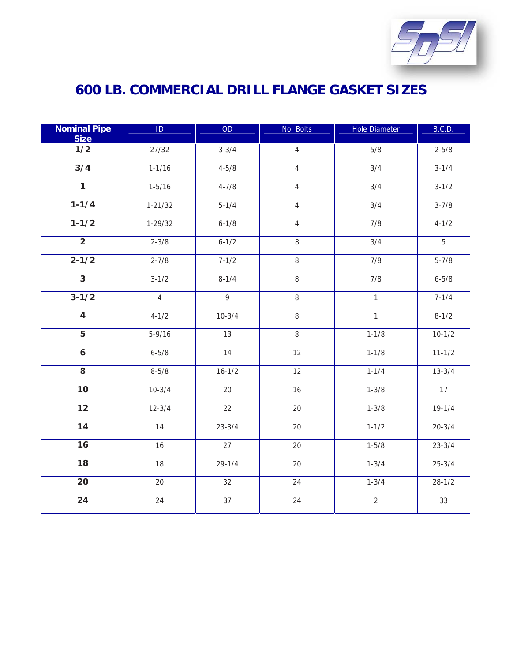

| <b>Nominal Pipe</b><br><b>Size</b> | $\mathsf{ID}$  | <b>OD</b>    | No. Bolts      | <b>Hole Diameter</b> | B.C.D.     |
|------------------------------------|----------------|--------------|----------------|----------------------|------------|
| 1/2                                | 27/32          | $3 - 3/4$    | $\overline{4}$ | 5/8                  | $2 - 5/8$  |
| 3/4                                | $1 - 1/16$     | $4 - 5/8$    | $\overline{4}$ | 3/4                  | $3 - 1/4$  |
| $\overline{1}$                     | $1 - 5/16$     | $4 - 7/8$    | $\overline{4}$ | 3/4                  | $3 - 1/2$  |
| $1 - 1/4$                          | $1 - 21/32$    | $5 - 1/4$    | $\overline{4}$ | 3/4                  | $3 - 7/8$  |
| $1 - 1/2$                          | $1 - 29/32$    | $6 - 1/8$    | $\sqrt{4}$     | 7/8                  | $4 - 1/2$  |
| $\overline{2}$                     | $2 - 3/8$      | $6 - 1/2$    | $\, 8$         | 3/4                  | 5          |
| $2 - 1/2$                          | $2 - 7/8$      | $7 - 1/2$    | $\, 8$         | 7/8                  | $5 - 7/8$  |
| $\overline{\overline{3}}$          | $3 - 1/2$      | $8 - 1/4$    | $\,8\,$        | 7/8                  | $6 - 5/8$  |
| $3 - 1/2$                          | $\overline{4}$ | $\mathsf{q}$ | 8              | $\mathbf{1}$         | $7 - 1/4$  |
| $\overline{4}$                     | $4 - 1/2$      | $10 - 3/4$   | $\,8\,$        | $\mathbf{1}$         | $8 - 1/2$  |
| $\overline{5}$                     | $5 - 9/16$     | 13           | $\,8\,$        | $1 - 1/8$            | $10 - 1/2$ |
| $\boldsymbol{6}$                   | $6 - 5/8$      | 14           | 12             | $1 - 1/8$            | $11 - 1/2$ |
| $\overline{8}$                     | $8 - 5/8$      | $16 - 1/2$   | 12             | $1 - 1/4$            | $13 - 3/4$ |
| $\overline{10}$                    | $10-3/4$       | 20           | 16             | $1 - 3/8$            | 17         |
| 12                                 | $12 - 3/4$     | 22           | 20             | $1 - 3/8$            | $19 - 1/4$ |
| 14                                 | 14             | $23 - 3/4$   | 20             | $1 - 1/2$            | $20 - 3/4$ |
| 16                                 | 16             | 27           | 20             | $1 - 5/8$            | $23 - 3/4$ |
| 18                                 | 18             | $29 - 1/4$   | 20             | $1 - 3/4$            | $25 - 3/4$ |
| 20                                 | 20             | 32           | 24             | $1 - 3/4$            | $28 - 1/2$ |
| 24                                 | 24             | 37           | 24             | $\overline{2}$       | 33         |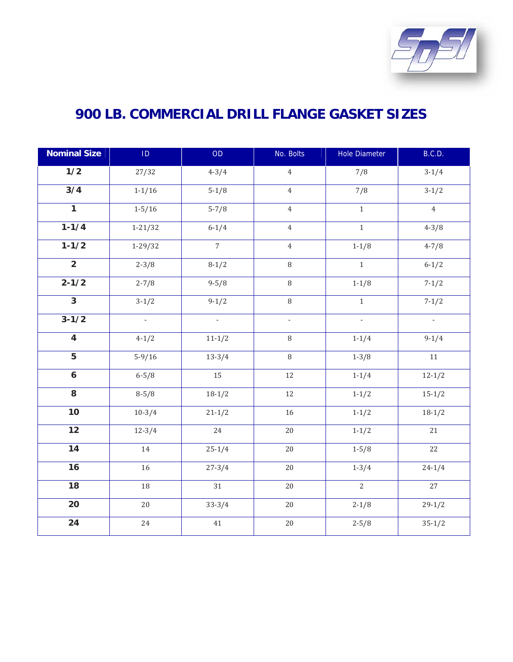

| <b>Nominal Size</b> | $\mathsf{ID}$  | OD                       | No. Bolts                | <b>Hole Diameter</b>     | B.C.D.         |
|---------------------|----------------|--------------------------|--------------------------|--------------------------|----------------|
| 1/2                 | 27/32          | $4 - 3/4$                | $\overline{4}$           | 7/8                      | $3-1/4$        |
| $\overline{3/4}$    | $1 - 1/16$     | $5-1/8$                  | $\overline{4}$           | 7/8                      | $3-1/2$        |
| $\overline{1}$      | $1 - 5/16$     | $5 - 7/8$                | $\overline{4}$           | $\mathbf 1$              | $\overline{4}$ |
| $1 - 1/4$           | $1 - 21/32$    | $6 - 1/4$                | $\overline{4}$           | $\mathbf{1}$             | $4 - 3/8$      |
| $1 - 1/2$           | $1 - 29/32$    | $\overline{7}$           | $\,4\,$                  | $1 - 1/8$                | $4 - 7/8$      |
| $\overline{2}$      | $2 - 3/8$      | $8-1/2$                  | 8                        | $\mathbf{1}$             | $6 - 1/2$      |
| $2 - 1/2$           | $2 - 7/8$      | $9 - 5/8$                | $\, 8$                   | $1 - 1/8$                | $7 - 1/2$      |
| $\overline{3}$      | $3-1/2$        | $9-1/2$                  | $\, 8$                   | $1\,$                    | $7 - 1/2$      |
| $3 - 1/2$           | $\mathbb{Z}^2$ | $\overline{\phantom{a}}$ | $\overline{\phantom{a}}$ | $\overline{\phantom{a}}$ | $\sim$         |
| $\overline{4}$      | $4 - 1/2$      | $11 - 1/2$               | $\, 8$                   | $1 - 1/4$                | $9-1/4$        |
| $\sqrt{5}$          | $5-9/16$       | $13 - 3/4$               | $\, 8$                   | $1 - 3/8$                | $11\,$         |
| $\boldsymbol{6}$    | $6 - 5/8$      | 15                       | 12                       | $1 - 1/4$                | $12 - 1/2$     |
| 8                   | $8 - 5/8$      | $18-1/2$                 | $12\,$                   | $1 - 1/2$                | $15 - 1/2$     |
| 10                  | $10-3/4$       | $21 - 1/2$               | 16                       | $1 - 1/2$                | $18-1/2$       |
| $\overline{12}$     | $12 - 3/4$     | 24                       | $20\,$                   | $1 - 1/2$                | 21             |
| $\overline{14}$     | $14\,$         | $25 - 1/4$               | $20\,$                   | $1 - 5/8$                | 22             |
| 16                  | 16             | $27 - 3/4$               | $20\,$                   | $1 - 3/4$                | $24 - 1/4$     |
| 18                  | $18\,$         | 31                       | $20\,$                   | $\overline{2}$           | 27             |
| 20                  | 20             | $33 - 3/4$               | $20\,$                   | $2 - 1/8$                | $29-1/2$       |
| 24                  | $24\,$         | $41\,$                   | $20\,$                   | $2 - 5/8$                | $35 - 1/2$     |